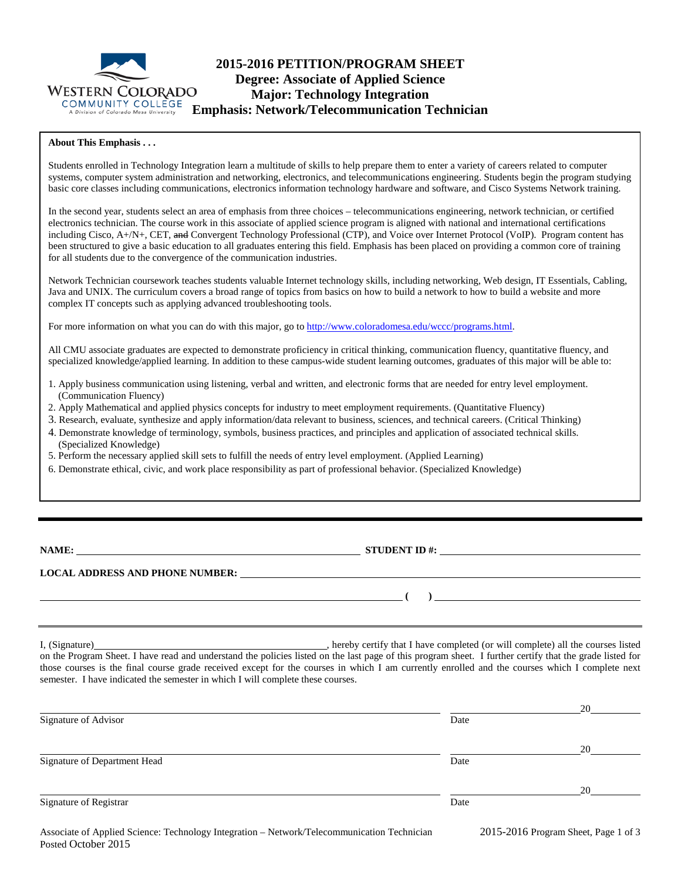

# **2015-2016 PETITION/PROGRAM SHEET Degree: Associate of Applied Science Major: Technology Integration Emphasis: Network/Telecommunication Technician**

#### **About This Emphasis . . .**

Students enrolled in Technology Integration learn a multitude of skills to help prepare them to enter a variety of careers related to computer systems, computer system administration and networking, electronics, and telecommunications engineering. Students begin the program studying basic core classes including communications, electronics information technology hardware and software, and Cisco Systems Network training.

In the second year, students select an area of emphasis from three choices – telecommunications engineering, network technician, or certified electronics technician. The course work in this associate of applied science program is aligned with national and international certifications including Cisco, A+/N+, CET, and Convergent Technology Professional (CTP), and Voice over Internet Protocol (VoIP). Program content has been structured to give a basic education to all graduates entering this field. Emphasis has been placed on providing a common core of training for all students due to the convergence of the communication industries.

Network Technician coursework teaches students valuable Internet technology skills, including networking, Web design, IT Essentials, Cabling, Java and UNIX. The curriculum covers a broad range of topics from basics on how to build a network to how to build a website and more complex IT concepts such as applying advanced troubleshooting tools.

For more information on what you can do with this major, go to [http://www.coloradomesa.edu/wccc/programs.html.](http://www.coloradomesa.edu/wccc/programs.html)

All CMU associate graduates are expected to demonstrate proficiency in critical thinking, communication fluency, quantitative fluency, and specialized knowledge/applied learning. In addition to these campus-wide student learning outcomes, graduates of this major will be able to:

- 1. Apply business communication using listening, verbal and written, and electronic forms that are needed for entry level employment. (Communication Fluency)
- 2. Apply Mathematical and applied physics concepts for industry to meet employment requirements. (Quantitative Fluency)
- 3. Research, evaluate, synthesize and apply information/data relevant to business, sciences, and technical careers. (Critical Thinking)
- 4. Demonstrate knowledge of terminology, symbols, business practices, and principles and application of associated technical skills. (Specialized Knowledge)
- 5. Perform the necessary applied skill sets to fulfill the needs of entry level employment. (Applied Learning)
- 6. Demonstrate ethical, civic, and work place responsibility as part of professional behavior. (Specialized Knowledge)

**NAME: STUDENT ID #: STUDENT ID #: STUDENT ID #: STUDENT ID #: STUDENT ID #: STUDENT ID #: STUDENT ID #: STUDENT ID #: STUDENT ID #: STUDENT ID #: STUDENT ID #: STUDENT ID #: STUDENT ID #: STUDE** 

**( )** 

#### **LOCAL ADDRESS AND PHONE NUMBER:**

I, (Signature) , hereby certify that I have completed (or will complete) all the courses listed on the Program Sheet. I have read and understand the policies listed on the last page of this program sheet. I further certify that the grade listed for those courses is the final course grade received except for the courses in which I am currently enrolled and the courses which I complete next semester. I have indicated the semester in which I will complete these courses.

|                              |      | 20 |
|------------------------------|------|----|
| Signature of Advisor         | Date |    |
|                              |      | 20 |
| Signature of Department Head | Date |    |
|                              |      | 20 |
| Signature of Registrar       | Date |    |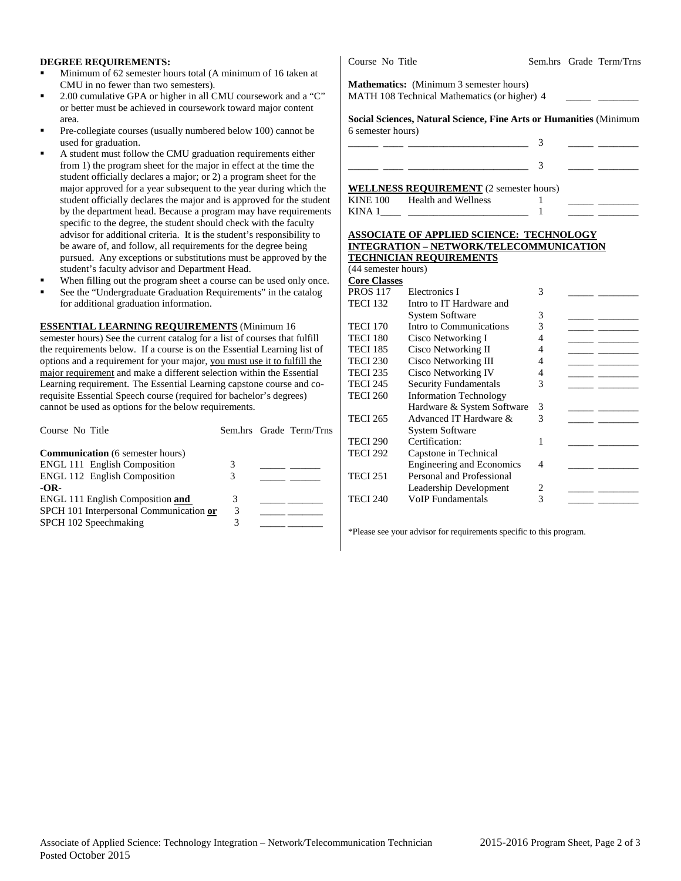#### **DEGREE REQUIREMENTS:**

- Minimum of 62 semester hours total (A minimum of 16 taken at CMU in no fewer than two semesters).
- 2.00 cumulative GPA or higher in all CMU coursework and a "C" or better must be achieved in coursework toward major content area.
- Pre-collegiate courses (usually numbered below 100) cannot be used for graduation.
- A student must follow the CMU graduation requirements either from 1) the program sheet for the major in effect at the time the student officially declares a major; or 2) a program sheet for the major approved for a year subsequent to the year during which the student officially declares the major and is approved for the student by the department head. Because a program may have requirements specific to the degree, the student should check with the faculty advisor for additional criteria. It is the student's responsibility to be aware of, and follow, all requirements for the degree being pursued. Any exceptions or substitutions must be approved by the student's faculty advisor and Department Head.
- When filling out the program sheet a course can be used only once.
- See the "Undergraduate Graduation Requirements" in the catalog for additional graduation information.

**ESSENTIAL LEARNING REQUIREMENTS** (Minimum 16 semester hours) See the current catalog for a list of courses that fulfill the requirements below. If a course is on the Essential Learning list of options and a requirement for your major, you must use it to fulfill the

major requirement and make a different selection within the Essential Learning requirement. The Essential Learning capstone course and corequisite Essential Speech course (required for bachelor's degrees) cannot be used as options for the below requirements.

| Course No Title                         |   | Sem.hrs Grade Term/Trns |
|-----------------------------------------|---|-------------------------|
| <b>Communication</b> (6 semester hours) |   |                         |
| <b>ENGL 111 English Composition</b>     | 3 |                         |
| <b>ENGL 112 English Composition</b>     | 3 |                         |
| $-OR-$                                  |   |                         |
| ENGL 111 English Composition and        | 3 |                         |
| SPCH 101 Interpersonal Communication or | 3 |                         |
| SPCH 102 Speechmaking                   | 3 |                         |

**Mathematics:** (Minimum 3 semester hours)

MATH 108 Technical Mathematics (or higher) 4

**Social Sciences, Natural Science, Fine Arts or Humanities** (Minimum 6 semester hours)

|  | _____ |  |
|--|-------|--|
|  |       |  |

**WELLNESS REQUIREMENT** (2 semester hours)

| <b>INIA</b> |                     |  |  |
|-------------|---------------------|--|--|
| KINE        | Health and Wellness |  |  |

#### **ASSOCIATE OF APPLIED SCIENCE: TECHNOLOGY INTEGRATION – NETWORK/TELECOMMUNICATION TECHNICIAN REQUIREMENTS**

|                     | 20                               |   |  |
|---------------------|----------------------------------|---|--|
| (44 semester hours) |                                  |   |  |
| <b>Core Classes</b> |                                  |   |  |
| <b>PROS 117</b>     | Electronics I                    | 3 |  |
| <b>TECI 132</b>     | Intro to IT Hardware and         |   |  |
|                     | <b>System Software</b>           | 3 |  |
| <b>TECI 170</b>     | Intro to Communications          | 3 |  |
| <b>TECI 180</b>     | Cisco Networking I               | 4 |  |
| <b>TECI 185</b>     | Cisco Networking II              | 4 |  |
| <b>TECI 230</b>     | Cisco Networking III             | 4 |  |
| <b>TECI 235</b>     | <b>Cisco Networking IV</b>       | 4 |  |
| <b>TECI 245</b>     | <b>Security Fundamentals</b>     | 3 |  |
| <b>TECI 260</b>     | <b>Information Technology</b>    |   |  |
|                     | Hardware & System Software       | 3 |  |
| <b>TECI 265</b>     | Advanced IT Hardware &           | 3 |  |
|                     | <b>System Software</b>           |   |  |
| <b>TECI 290</b>     | Certification:                   | 1 |  |
| <b>TECI 292</b>     | Capstone in Technical            |   |  |
|                     | <b>Engineering and Economics</b> | 4 |  |
| <b>TECI 251</b>     | Personal and Professional        |   |  |
|                     | Leadership Development           | 2 |  |
| <b>TECI 240</b>     | <b>VoIP</b> Fundamentals         | 3 |  |
|                     |                                  |   |  |

\*Please see your advisor for requirements specific to this program.